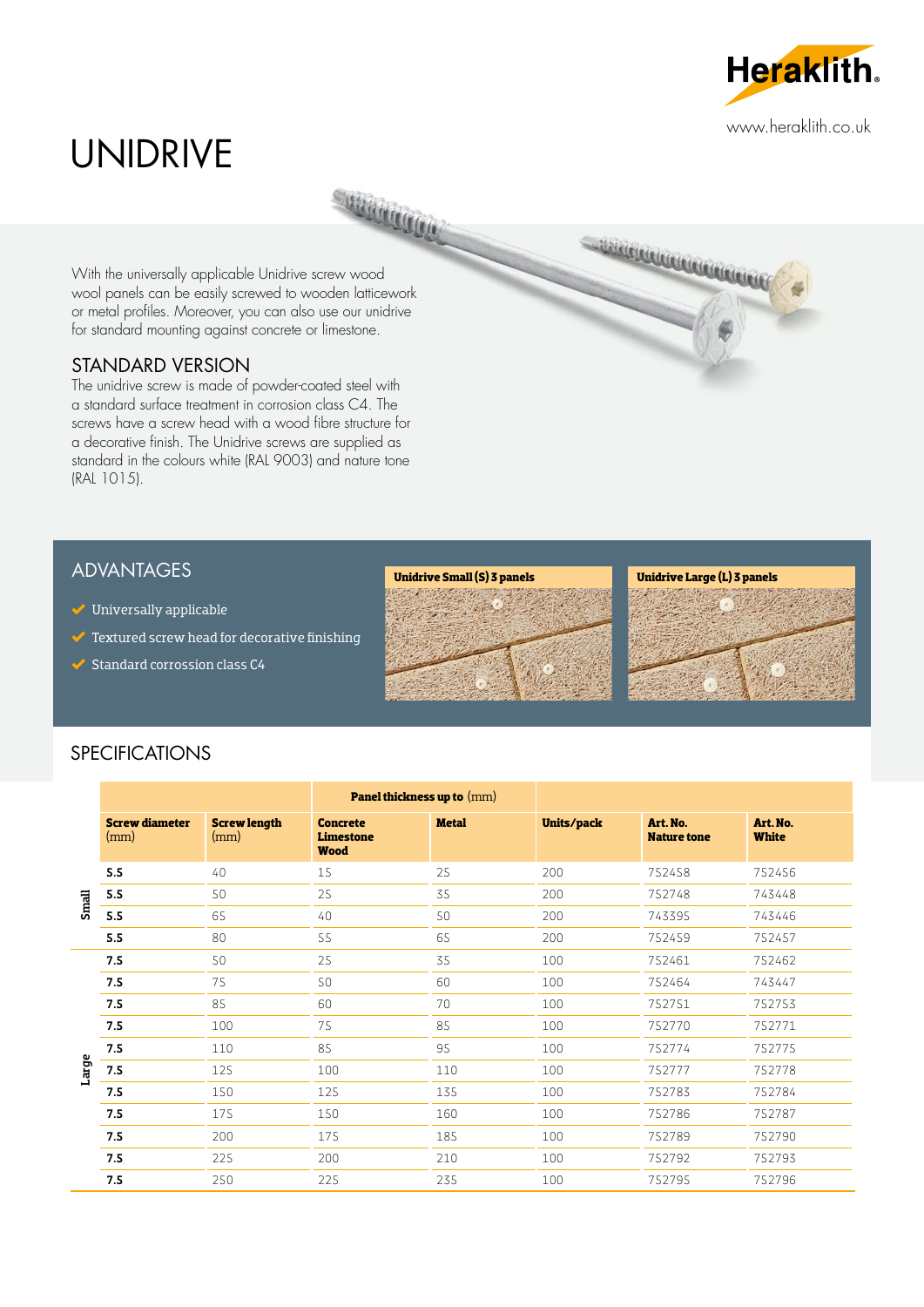

# UNIDRIVE

With the universally applicable Unidrive screw wood wool panels can be easily screwed to wooden latticework or metal profiles. Moreover, you can also use our unidrive for standard mounting against concrete or limestone.

**SUBRATION** 

## STANDARD VERSION

The unidrive screw is made of powder-coated steel with a standard surface treatment in corrosion class C4. The screws have a screw head with a wood fibre structure for a decorative finish. The Unidrive screws are supplied as standard in the colours white (RAL 9003) and nature tone (RAL 1015).

## ADVANTAGES

- $\blacktriangleright$  Universally applicable
- $\blacktriangleright$  Textured screw head for decorative finishing
- $\triangleleft$  Standard corrossion class C4





**CONTINUES ON A PROPERTY AND A PROPERTY** 



# SPECIFICATIONS

|       |                               |                             | <b>Panel thickness up to (mm)</b>                  |              |            |                                |                          |
|-------|-------------------------------|-----------------------------|----------------------------------------------------|--------------|------------|--------------------------------|--------------------------|
|       | <b>Screw diameter</b><br>(mm) | <b>Screw length</b><br>(mm) | <b>Concrete</b><br><b>Limestone</b><br><b>Wood</b> | <b>Metal</b> | Units/pack | Art. No.<br><b>Nature tone</b> | Art. No.<br><b>White</b> |
| Small | 5.5                           | 40                          | 15                                                 | 25           | 200        | 752458                         | 752456                   |
|       | 5.5                           | 50                          | 25                                                 | 35           | 200        | 752748                         | 743448                   |
|       | 5.5                           | 65                          | 40                                                 | 50           | 200        | 743395                         | 743446                   |
|       | 5.5                           | 80                          | 55                                                 | 65           | 200        | 752459                         | 752457                   |
| Large | 7.5                           | 50                          | 25                                                 | 35           | 100        | 752461                         | 752462                   |
|       | 7.5                           | 75                          | 50                                                 | 60           | 100        | 752464                         | 743447                   |
|       | 7.5                           | 85                          | 60                                                 | 70           | 100        | 752751                         | 752753                   |
|       | 7.5                           | 100                         | 75                                                 | 85           | 100        | 752770                         | 752771                   |
|       | 7.5                           | 110                         | 85                                                 | 95           | 100        | 752774                         | 752775                   |
|       | $7.5$                         | 125                         | 100                                                | 110          | 100        | 752777                         | 752778                   |
|       | 7.5                           | 150                         | 125                                                | 135          | 100        | 752783                         | 752784                   |
|       | 7.5                           | 175                         | 150                                                | 160          | 100        | 752786                         | 752787                   |
|       | 7.5                           | 200                         | 175                                                | 185          | 100        | 752789                         | 752790                   |
|       | 7.5                           | 225                         | 200                                                | 210          | 100        | 752792                         | 752793                   |
|       | 7.5                           | 250                         | 225                                                | 235          | 100        | 752795                         | 752796                   |